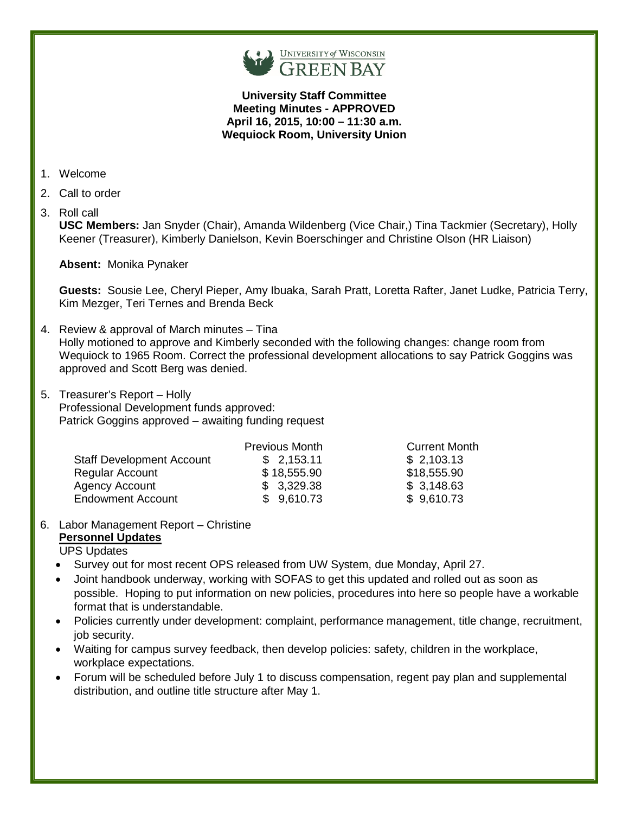

**University Staff Committee Meeting Minutes - APPROVED April 16, 2015, 10:00 – 11:30 a.m. Wequiock Room, University Union**

- 1. Welcome
- 2. Call to order
- 3. Roll call

**USC Members:** Jan Snyder (Chair), Amanda Wildenberg (Vice Chair,) Tina Tackmier (Secretary), Holly Keener (Treasurer), Kimberly Danielson, Kevin Boerschinger and Christine Olson (HR Liaison)

**Absent:** Monika Pynaker

**Guests:** Sousie Lee, Cheryl Pieper, Amy Ibuaka, Sarah Pratt, Loretta Rafter, Janet Ludke, Patricia Terry, Kim Mezger, Teri Ternes and Brenda Beck

- 4. Review & approval of March minutes Tina Holly motioned to approve and Kimberly seconded with the following changes: change room from Wequiock to 1965 Room. Correct the professional development allocations to say Patrick Goggins was approved and Scott Berg was denied.
- 5. Treasurer's Report Holly Professional Development funds approved: Patrick Goggins approved – awaiting funding request

|                                  | <b>Previous Month</b> | <b>Current Month</b> |
|----------------------------------|-----------------------|----------------------|
| <b>Staff Development Account</b> | \$2,153.11            | \$2,103.13           |
| <b>Regular Account</b>           | \$18,555.90           | \$18,555.90          |
| <b>Agency Account</b>            | \$3,329.38            | \$3,148.63           |
| <b>Endowment Account</b>         | \$9,610.73            | \$9,610.73           |

## 6. Labor Management Report – Christine

## **Personnel Updates**

UPS Updates

- Survey out for most recent OPS released from UW System, due Monday, April 27.
- Joint handbook underway, working with SOFAS to get this updated and rolled out as soon as possible. Hoping to put information on new policies, procedures into here so people have a workable format that is understandable.
- Policies currently under development: complaint, performance management, title change, recruitment, job security.
- Waiting for campus survey feedback, then develop policies: safety, children in the workplace, workplace expectations.
- Forum will be scheduled before July 1 to discuss compensation, regent pay plan and supplemental distribution, and outline title structure after May 1.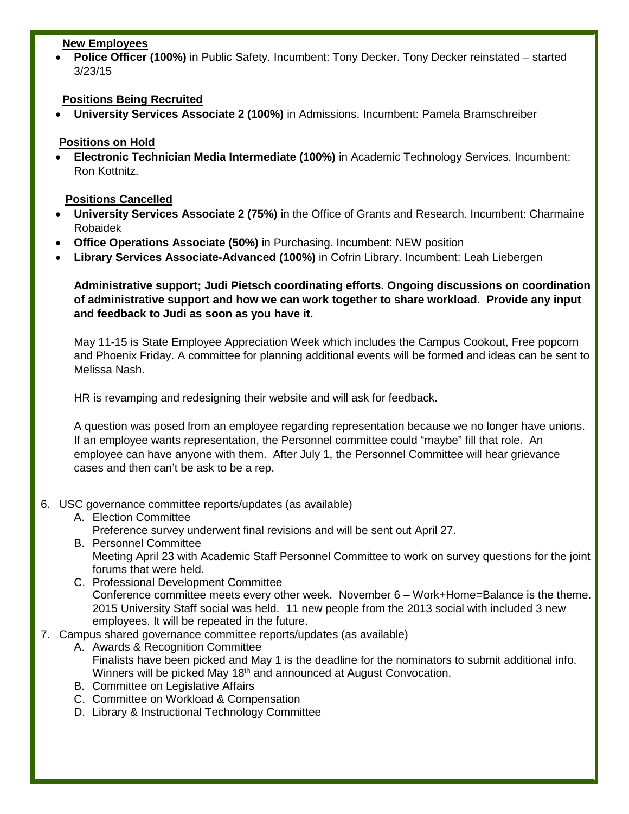#### **New Employees**

• **Police Officer (100%)** in Public Safety. Incumbent: Tony Decker. Tony Decker reinstated – started 3/23/15

# **Positions Being Recruited**

• **University Services Associate 2 (100%)** in Admissions. Incumbent: Pamela Bramschreiber

# **Positions on Hold**

• **Electronic Technician Media Intermediate (100%)** in Academic Technology Services. Incumbent: Ron Kottnitz.

# **Positions Cancelled**

- **University Services Associate 2 (75%)** in the Office of Grants and Research. Incumbent: Charmaine Robaidek
- **Office Operations Associate (50%)** in Purchasing. Incumbent: NEW position
- **Library Services Associate-Advanced (100%)** in Cofrin Library. Incumbent: Leah Liebergen

**Administrative support; Judi Pietsch coordinating efforts. Ongoing discussions on coordination of administrative support and how we can work together to share workload. Provide any input and feedback to Judi as soon as you have it.**

May 11-15 is State Employee Appreciation Week which includes the Campus Cookout, Free popcorn and Phoenix Friday. A committee for planning additional events will be formed and ideas can be sent to Melissa Nash.

HR is revamping and redesigning their website and will ask for feedback.

A question was posed from an employee regarding representation because we no longer have unions. If an employee wants representation, the Personnel committee could "maybe" fill that role. An employee can have anyone with them. After July 1, the Personnel Committee will hear grievance cases and then can't be ask to be a rep.

## 6. USC governance committee reports/updates (as available)

- A. Election Committee Preference survey underwent final revisions and will be sent out April 27.
- B. Personnel Committee Meeting April 23 with Academic Staff Personnel Committee to work on survey questions for the joint forums that were held.
- C. Professional Development Committee Conference committee meets every other week. November 6 – Work+Home=Balance is the theme. 2015 University Staff social was held. 11 new people from the 2013 social with included 3 new employees. It will be repeated in the future.
- 7. Campus shared governance committee reports/updates (as available)
	- A. Awards & Recognition Committee Finalists have been picked and May 1 is the deadline for the nominators to submit additional info. Winners will be picked May 18<sup>th</sup> and announced at August Convocation.
	- B. Committee on Legislative Affairs
	- C. Committee on Workload & Compensation
	- D. Library & Instructional Technology Committee